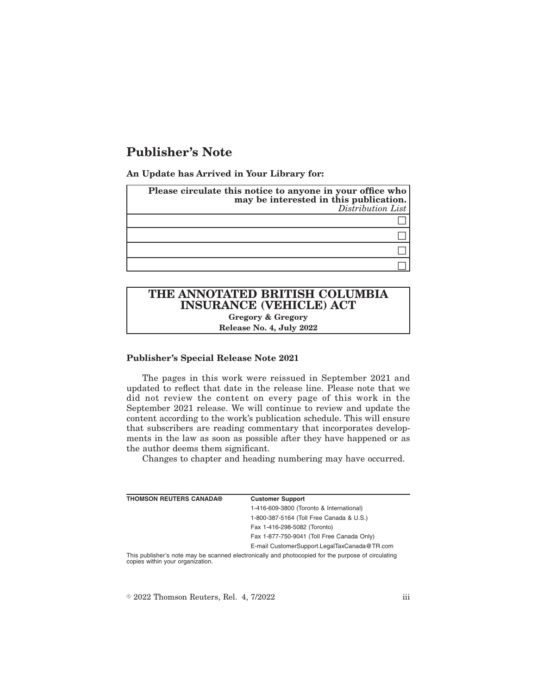## **Publisher's Note**

**An Update has Arrived in Your Library for:**

| Please circulate this notice to anyone in your office who<br>may be interested in this publication.<br>Distribution List |
|--------------------------------------------------------------------------------------------------------------------------|
|                                                                                                                          |
|                                                                                                                          |
|                                                                                                                          |
|                                                                                                                          |

# **THE ANNOTATED BRITISH COLUMBIA INSURANCE (VEHICLE) ACT**

**Gregory & Gregory Release No. 4, July 2022**

### **Publisher's Special Release Note 2021**

The pages in this work were reissued in September 2021 and updated to reflect that date in the release line. Please note that we did not review the content on every page of this work in the September 2021 release. We will continue to review and update the content according to the work's publication schedule. This will ensure that subscribers are reading commentary that incorporates developments in the law as soon as possible after they have happened or as the author deems them significant.

Changes to chapter and heading numbering may have occurred.

| <b>THOMSON REUTERS CANADA®</b> | <b>Customer Support</b>                                                                                  |
|--------------------------------|----------------------------------------------------------------------------------------------------------|
|                                | 1-416-609-3800 (Toronto & International)                                                                 |
|                                | 1-800-387-5164 (Toll Free Canada & U.S.)                                                                 |
|                                | Fax 1-416-298-5082 (Toronto)                                                                             |
|                                | Fax 1-877-750-9041 (Toll Free Canada Only)                                                               |
|                                | E-mail CustomerSupport.LegalTaxCanada@TR.com                                                             |
|                                | This published a pate people ha connected plastropically and photographed for the purpose of circulation |

ther's note may be scanned electronically and photocopied for the purpose of circulating copies within your organization.

 $\textdegree$  2022 Thomson Reuters, Rel. 4, 7/2022 iii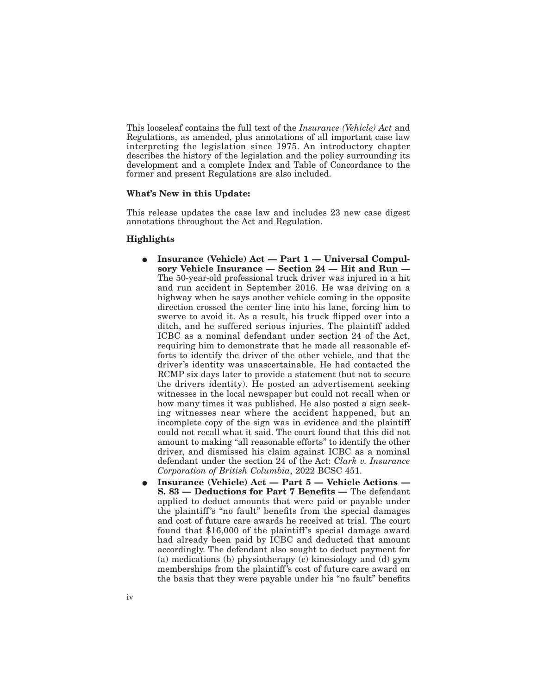This looseleaf contains the full text of the *Insurance (Vehicle) Act* and Regulations, as amended, plus annotations of all important case law interpreting the legislation since 1975. An introductory chapter describes the history of the legislation and the policy surrounding its development and a complete Index and Table of Concordance to the former and present Regulations are also included.

#### **What's New in this Update:**

This release updates the case law and includes 23 new case digest annotations throughout the Act and Regulation.

#### **Highlights**

- Insurance (Vehicle) Act Part 1 Universal Compul**sory Vehicle Insurance — Section 24 — Hit and Run —** The 50-year-old professional truck driver was injured in a hit and run accident in September 2016. He was driving on a highway when he says another vehicle coming in the opposite direction crossed the center line into his lane, forcing him to swerve to avoid it. As a result, his truck flipped over into a ditch, and he suffered serious injuries. The plaintiff added ICBC as a nominal defendant under section 24 of the Act, requiring him to demonstrate that he made all reasonable efforts to identify the driver of the other vehicle, and that the driver's identity was unascertainable. He had contacted the RCMP six days later to provide a statement (but not to secure the drivers identity). He posted an advertisement seeking witnesses in the local newspaper but could not recall when or how many times it was published. He also posted a sign seeking witnesses near where the accident happened, but an incomplete copy of the sign was in evidence and the plaintiff could not recall what it said. The court found that this did not amount to making "all reasonable efforts" to identify the other driver, and dismissed his claim against ICBC as a nominal defendant under the section 24 of the Act: *Clark v. Insurance Corporation of British Columbia*, 2022 BCSC 451.
- E **Insurance (Vehicle) Act Part 5 Vehicle Actions — S. 83 — Deductions for Part 7 Benefits —** The defendant applied to deduct amounts that were paid or payable under the plaintiff's "no fault" benefits from the special damages and cost of future care awards he received at trial. The court found that \$16,000 of the plaintiff's special damage award had already been paid by ICBC and deducted that amount accordingly. The defendant also sought to deduct payment for (a) medications (b) physiotherapy (c) kinesiology and (d) gym memberships from the plaintiff's cost of future care award on the basis that they were payable under his "no fault" benefits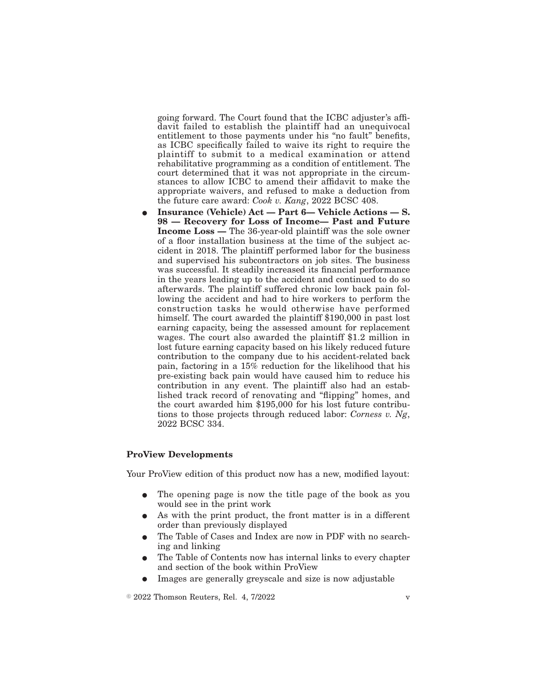going forward. The Court found that the ICBC adjuster's affidavit failed to establish the plaintiff had an unequivocal entitlement to those payments under his "no fault" benefits, as ICBC specifically failed to waive its right to require the plaintiff to submit to a medical examination or attend rehabilitative programming as a condition of entitlement. The court determined that it was not appropriate in the circumstances to allow ICBC to amend their affidavit to make the appropriate waivers, and refused to make a deduction from the future care award: *Cook v. Kang*, 2022 BCSC 408.

E **Insurance (Vehicle) Act — Part 6— Vehicle Actions — S. 98 — Recovery for Loss of Income— Past and Future Income Loss —** The 36-year-old plaintiff was the sole owner of a floor installation business at the time of the subject accident in 2018. The plaintiff performed labor for the business and supervised his subcontractors on job sites. The business was successful. It steadily increased its financial performance in the years leading up to the accident and continued to do so afterwards. The plaintiff suffered chronic low back pain following the accident and had to hire workers to perform the construction tasks he would otherwise have performed himself. The court awarded the plaintiff \$190,000 in past lost earning capacity, being the assessed amount for replacement wages. The court also awarded the plaintiff \$1.2 million in lost future earning capacity based on his likely reduced future contribution to the company due to his accident-related back pain, factoring in a 15% reduction for the likelihood that his pre-existing back pain would have caused him to reduce his contribution in any event. The plaintiff also had an established track record of renovating and "flipping" homes, and the court awarded him \$195,000 for his lost future contributions to those projects through reduced labor: *Corness v. Ng*, 2022 BCSC 334.

#### **ProView Developments**

Your ProView edition of this product now has a new, modified layout:

- The opening page is now the title page of the book as you would see in the print work
- As with the print product, the front matter is in a different order than previously displayed
- The Table of Cases and Index are now in PDF with no searching and linking
- The Table of Contents now has internal links to every chapter and section of the book within ProView
- E Images are generally greyscale and size is now adjustable

 $\textdegree$  2022 Thomson Reuters, Rel. 4, 7/2022 v